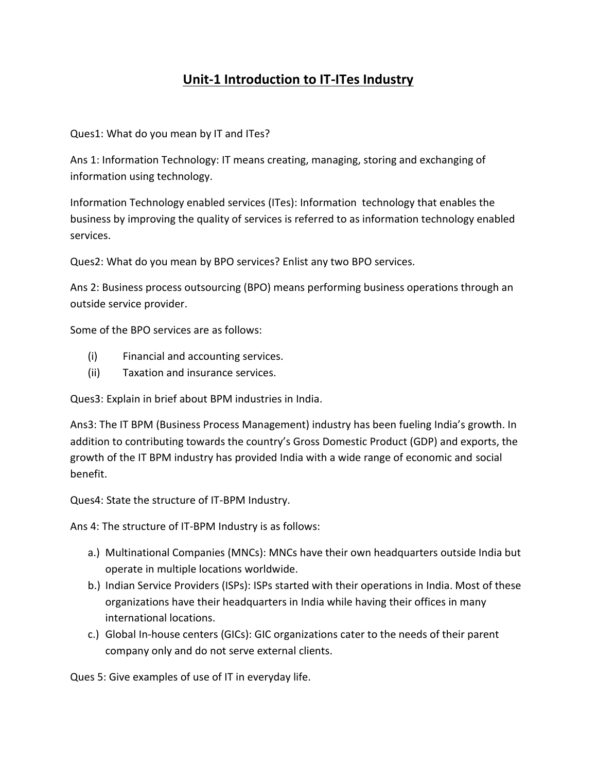## **Unit-1 Introduction to IT-ITes Industry**

Ques1: What do you mean by IT and ITes?

Ans 1: Information Technology: IT means creating, managing, storing and exchanging of information using technology.

Information Technology enabled services (ITes): Information technology that enables the business by improving the quality of services is referred to as information technology enabled services.

Ques2: What do you mean by BPO services? Enlist any two BPO services.

Ans 2: Business process outsourcing (BPO) means performing business operations through an outside service provider.

Some of the BPO services are as follows:

- (i) Financial and accounting services.
- (ii) Taxation and insurance services.

Ques3: Explain in brief about BPM industries in India.

Ans3: The IT BPM (Business Process Management) industry has been fueling India's growth. In addition to contributing towards the country's Gross Domestic Product (GDP) and exports, the growth of the IT BPM industry has provided India with a wide range of economic and social benefit.

Ques4: State the structure of IT-BPM Industry.

Ans 4: The structure of IT-BPM Industry is as follows:

- a.) Multinational Companies (MNCs): MNCs have their own headquarters outside India but operate in multiple locations worldwide.
- b.) Indian Service Providers (ISPs): ISPs started with their operations in India. Most of these organizations have their headquarters in India while having their offices in many international locations.
- c.) Global In-house centers (GICs): GIC organizations cater to the needs of their parent company only and do not serve external clients.

Ques 5: Give examples of use of IT in everyday life.